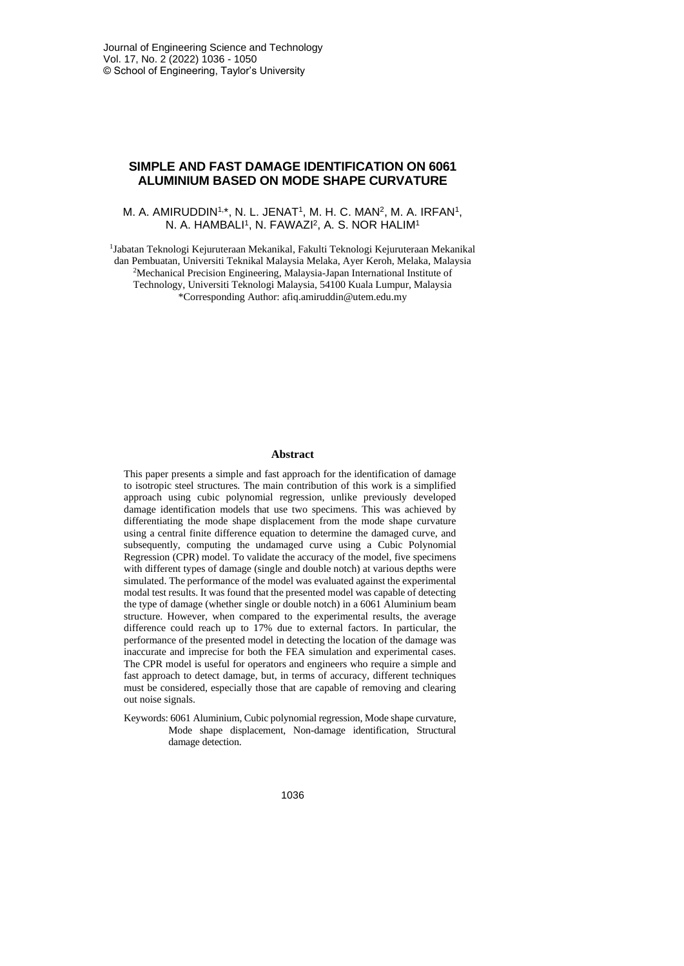# **SIMPLE AND FAST DAMAGE IDENTIFICATION ON 6061 ALUMINIUM BASED ON MODE SHAPE CURVATURE**

## M. A. AMIRUDDIN<sup>1,\*</sup>, N. L. JENAT<sup>1</sup>, M. H. C. MAN<sup>2</sup>, M. A. IRFAN<sup>1</sup>, N. A. HAMBALI<sup>1</sup>, N. FAWAZI<sup>2</sup>, A. S. NOR HALIM<sup>1</sup>

1 Jabatan Teknologi Kejuruteraan Mekanikal, Fakulti Teknologi Kejuruteraan Mekanikal dan Pembuatan, Universiti Teknikal Malaysia Melaka, Ayer Keroh, Melaka, Malaysia <sup>2</sup>Mechanical Precision Engineering, Malaysia-Japan International Institute of Technology, Universiti Teknologi Malaysia, 54100 Kuala Lumpur, Malaysia \*Corresponding Author: afiq.amiruddin@utem.edu.my

#### **Abstract**

This paper presents a simple and fast approach for the identification of damage to isotropic steel structures. The main contribution of this work is a simplified approach using cubic polynomial regression, unlike previously developed damage identification models that use two specimens. This was achieved by differentiating the mode shape displacement from the mode shape curvature using a central finite difference equation to determine the damaged curve, and subsequently, computing the undamaged curve using a Cubic Polynomial Regression (CPR) model. To validate the accuracy of the model, five specimens with different types of damage (single and double notch) at various depths were simulated. The performance of the model was evaluated against the experimental modal test results. It was found that the presented model was capable of detecting the type of damage (whether single or double notch) in a 6061 Aluminium beam structure. However, when compared to the experimental results, the average difference could reach up to 17% due to external factors. In particular, the performance of the presented model in detecting the location of the damage was inaccurate and imprecise for both the FEA simulation and experimental cases. The CPR model is useful for operators and engineers who require a simple and fast approach to detect damage, but, in terms of accuracy, different techniques must be considered, especially those that are capable of removing and clearing out noise signals.

Keywords: 6061 Aluminium, Cubic polynomial regression, Mode shape curvature, Mode shape displacement, Non-damage identification, Structural damage detection.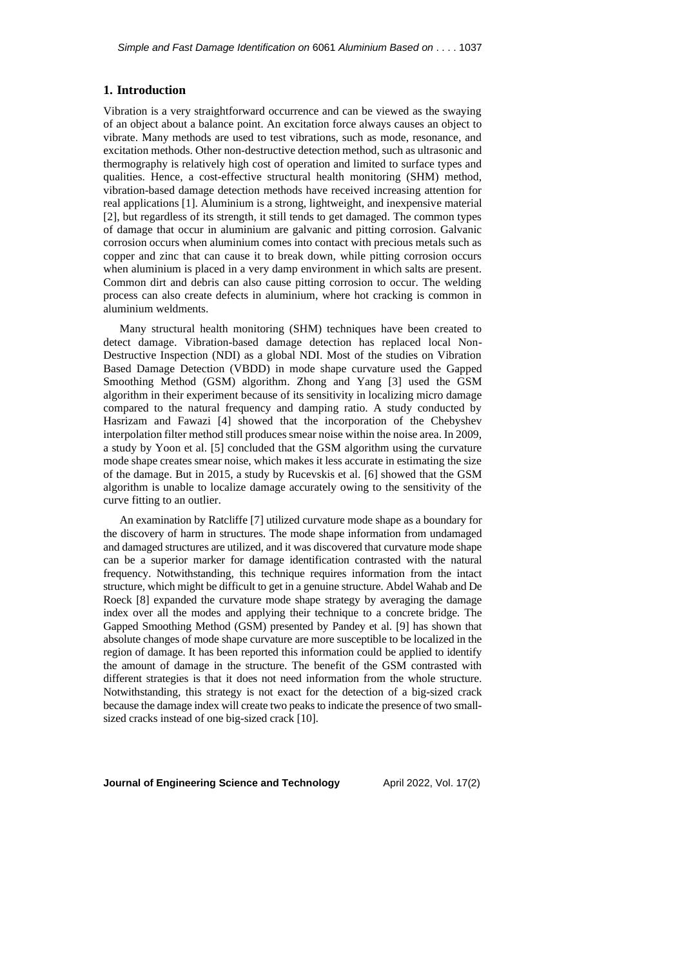## **1. Introduction**

Vibration is a very straightforward occurrence and can be viewed as the swaying of an object about a balance point. An excitation force always causes an object to vibrate. Many methods are used to test vibrations, such as mode, resonance, and excitation methods. Other non-destructive detection method, such as ultrasonic and thermography is relatively high cost of operation and limited to surface types and qualities. Hence, a cost-effective structural health monitoring (SHM) method, vibration-based damage detection methods have received increasing attention for real applications [1]. Aluminium is a strong, lightweight, and inexpensive material [2], but regardless of its strength, it still tends to get damaged. The common types of damage that occur in aluminium are galvanic and pitting corrosion. Galvanic corrosion occurs when aluminium comes into contact with precious metals such as copper and zinc that can cause it to break down, while pitting corrosion occurs when aluminium is placed in a very damp environment in which salts are present. Common dirt and debris can also cause pitting corrosion to occur. The welding process can also create defects in aluminium, where hot cracking is common in aluminium weldments.

Many structural health monitoring (SHM) techniques have been created to detect damage. Vibration-based damage detection has replaced local Non-Destructive Inspection (NDI) as a global NDI. Most of the studies on Vibration Based Damage Detection (VBDD) in mode shape curvature used the Gapped Smoothing Method (GSM) algorithm. Zhong and Yang [3] used the GSM algorithm in their experiment because of its sensitivity in localizing micro damage compared to the natural frequency and damping ratio. A study conducted by Hasrizam and Fawazi [4] showed that the incorporation of the Chebyshev interpolation filter method still produces smear noise within the noise area. In 2009, a study by Yoon et al. [5] concluded that the GSM algorithm using the curvature mode shape creates smear noise, which makes it less accurate in estimating the size of the damage. But in 2015, a study by Rucevskis et al. [6] showed that the GSM algorithm is unable to localize damage accurately owing to the sensitivity of the curve fitting to an outlier.

An examination by Ratcliffe [7] utilized curvature mode shape as a boundary for the discovery of harm in structures. The mode shape information from undamaged and damaged structures are utilized, and it was discovered that curvature mode shape can be a superior marker for damage identification contrasted with the natural frequency. Notwithstanding, this technique requires information from the intact structure, which might be difficult to get in a genuine structure. Abdel Wahab and De Roeck [8] expanded the curvature mode shape strategy by averaging the damage index over all the modes and applying their technique to a concrete bridge. The Gapped Smoothing Method (GSM) presented by Pandey et al. [9] has shown that absolute changes of mode shape curvature are more susceptible to be localized in the region of damage. It has been reported this information could be applied to identify the amount of damage in the structure. The benefit of the GSM contrasted with different strategies is that it does not need information from the whole structure. Notwithstanding, this strategy is not exact for the detection of a big-sized crack because the damage index will create two peaks to indicate the presence of two smallsized cracks instead of one big-sized crack [10].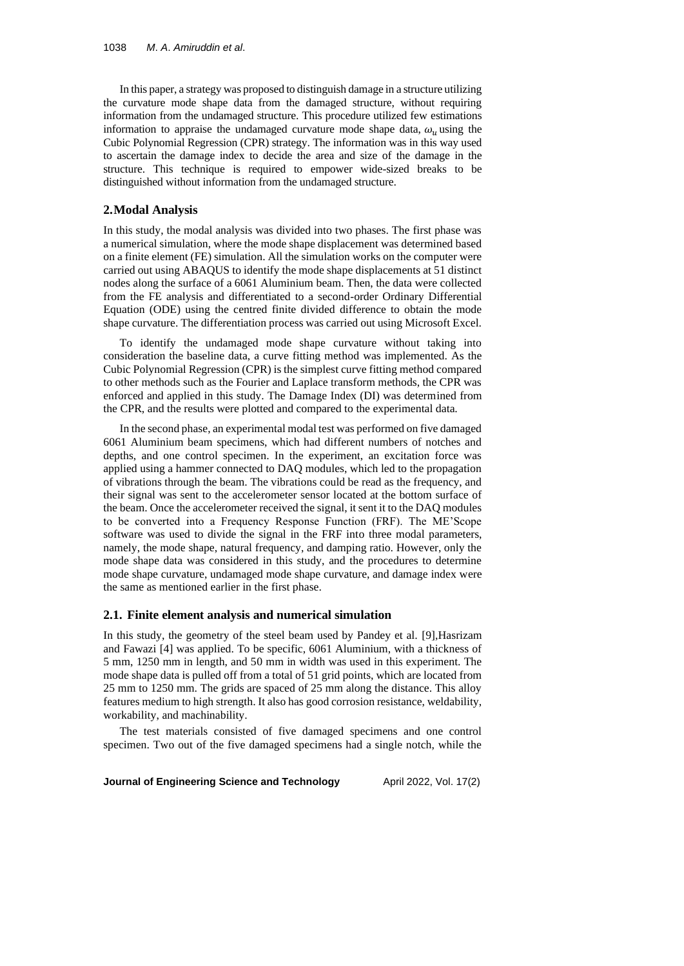In this paper, a strategy was proposed to distinguish damage in a structure utilizing the curvature mode shape data from the damaged structure, without requiring information from the undamaged structure. This procedure utilized few estimations information to appraise the undamaged curvature mode shape data,  $\omega_u$  using the Cubic Polynomial Regression (CPR) strategy. The information was in this way used to ascertain the damage index to decide the area and size of the damage in the structure. This technique is required to empower wide-sized breaks to be distinguished without information from the undamaged structure.

#### **2.Modal Analysis**

In this study, the modal analysis was divided into two phases. The first phase was a numerical simulation, where the mode shape displacement was determined based on a finite element (FE) simulation. All the simulation works on the computer were carried out using ABAQUS to identify the mode shape displacements at 51 distinct nodes along the surface of a 6061 Aluminium beam. Then, the data were collected from the FE analysis and differentiated to a second-order Ordinary Differential Equation (ODE) using the centred finite divided difference to obtain the mode shape curvature. The differentiation process was carried out using Microsoft Excel.

To identify the undamaged mode shape curvature without taking into consideration the baseline data, a curve fitting method was implemented. As the Cubic Polynomial Regression (CPR) is the simplest curve fitting method compared to other methods such as the Fourier and Laplace transform methods, the CPR was enforced and applied in this study. The Damage Index (DI) was determined from the CPR, and the results were plotted and compared to the experimental data.

In the second phase, an experimental modal test was performed on five damaged 6061 Aluminium beam specimens, which had different numbers of notches and depths, and one control specimen. In the experiment, an excitation force was applied using a hammer connected to DAQ modules, which led to the propagation of vibrations through the beam. The vibrations could be read as the frequency, and their signal was sent to the accelerometer sensor located at the bottom surface of the beam. Once the accelerometer received the signal, it sent it to the DAQ modules to be converted into a Frequency Response Function (FRF). The ME'Scope software was used to divide the signal in the FRF into three modal parameters, namely, the mode shape, natural frequency, and damping ratio. However, only the mode shape data was considered in this study, and the procedures to determine mode shape curvature, undamaged mode shape curvature, and damage index were the same as mentioned earlier in the first phase.

#### **2.1. Finite element analysis and numerical simulation**

In this study, the geometry of the steel beam used by Pandey et al. [9],Hasrizam and Fawazi [4] was applied. To be specific, 6061 Aluminium, with a thickness of 5 mm, 1250 mm in length, and 50 mm in width was used in this experiment. The mode shape data is pulled off from a total of 51 grid points, which are located from 25 mm to 1250 mm. The grids are spaced of 25 mm along the distance. This alloy features medium to high strength. It also has good corrosion resistance, weldability, workability, and machinability.

The test materials consisted of five damaged specimens and one control specimen. Two out of the five damaged specimens had a single notch, while the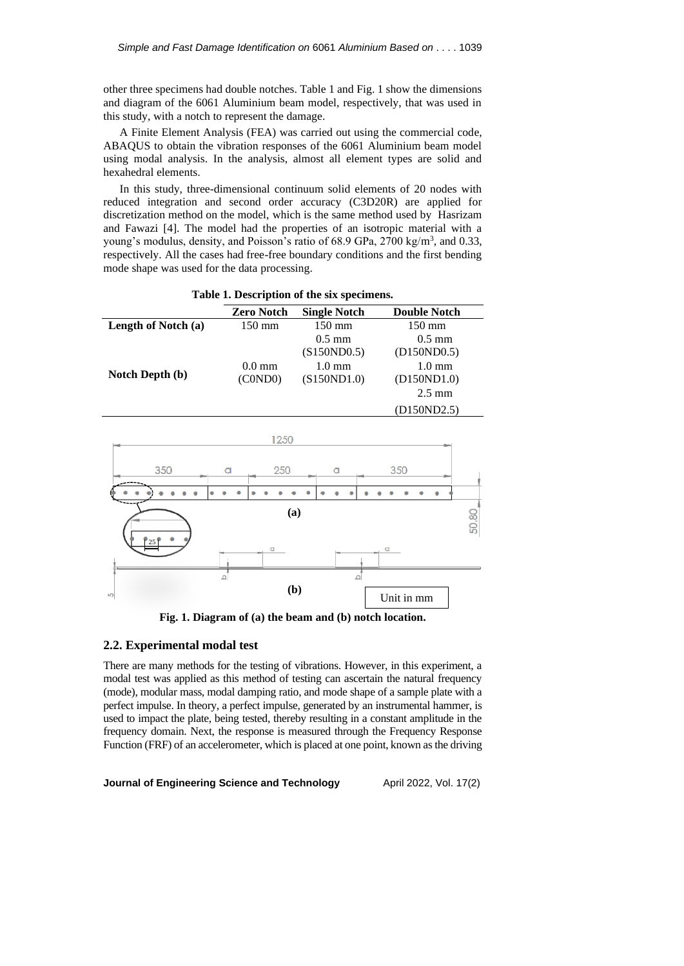other three specimens had double notches. Table 1 and Fig. 1 show the dimensions and diagram of the 6061 Aluminium beam model, respectively, that was used in this study, with a notch to represent the damage.

A Finite Element Analysis (FEA) was carried out using the commercial code, ABAQUS to obtain the vibration responses of the 6061 Aluminium beam model using modal analysis. In the analysis, almost all element types are solid and hexahedral elements.

In this study, three-dimensional continuum solid elements of 20 nodes with reduced integration and second order accuracy (C3D20R) are applied for discretization method on the model, which is the same method used by Hasrizam and Fawazi [4]. The model had the properties of an isotropic material with a young's modulus, density, and Poisson's ratio of 68.9 GPa, 2700 kg/m<sup>3</sup>, and 0.33, respectively. All the cases had free-free boundary conditions and the first bending mode shape was used for the data processing.

| <b>Zero Notch</b> | <b>Single Notch</b> | <b>Double Notch</b> |
|-------------------|---------------------|---------------------|
| $150 \text{ mm}$  | $150 \text{ mm}$    | $150 \text{ mm}$    |
|                   | $0.5 \text{ mm}$    | $0.5 \text{ mm}$    |
|                   | (S150N D0.5)        | (D150 N D0.5)       |
| $0.0 \text{ mm}$  | $1.0 \text{ mm}$    | $1.0 \text{ mm}$    |
| (COND0)           | (S150ND1.0)         | (D150ND1.0)         |
|                   |                     | $2.5 \text{ mm}$    |
|                   |                     | (D150ND2.5)         |
|                   |                     |                     |

**Table 1. Description of the six specimens.**



**Fig. 1. Diagram of (a) the beam and (b) notch location.**

# **2.2. Experimental modal test**

There are many methods for the testing of vibrations. However, in this experiment, a modal test was applied as this method of testing can ascertain the natural frequency (mode), modular mass, modal damping ratio, and mode shape of a sample plate with a perfect impulse. In theory, a perfect impulse, generated by an instrumental hammer, is used to impact the plate, being tested, thereby resulting in a constant amplitude in the frequency domain. Next, the response is measured through the Frequency Response Function (FRF) of an accelerometer, which is placed at one point, known as the driving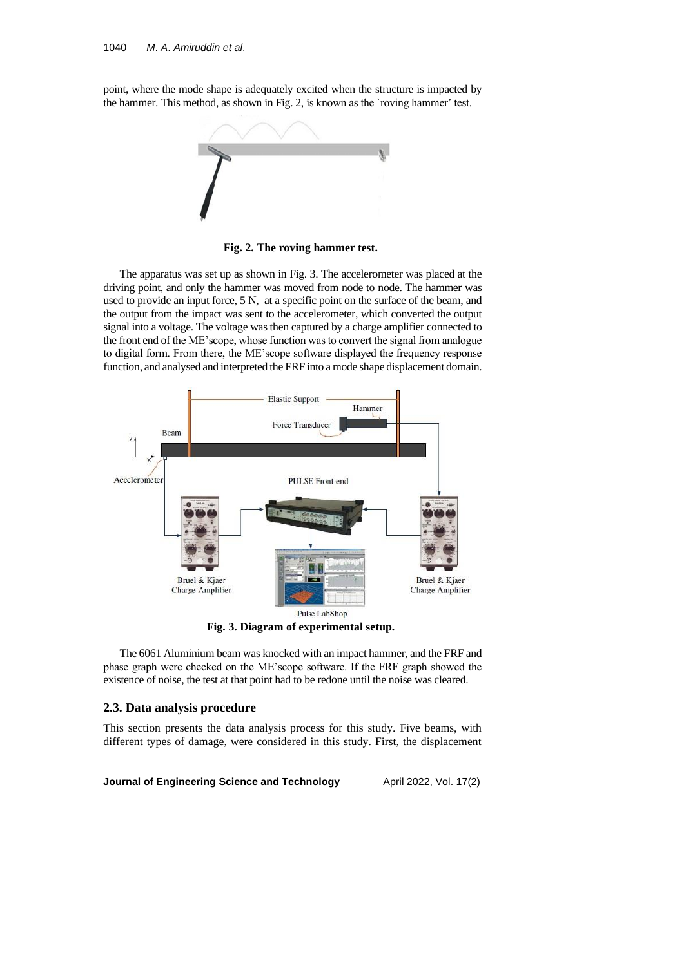point, where the mode shape is adequately excited when the structure is impacted by the hammer. This method, as shown in Fig. 2, is known as the `roving hammer' test.



**Fig. 2. The roving hammer test.**

The apparatus was set up as shown in Fig. 3. The accelerometer was placed at the driving point, and only the hammer was moved from node to node. The hammer was used to provide an input force, 5 N, at a specific point on the surface of the beam, and the output from the impact was sent to the accelerometer, which converted the output signal into a voltage. The voltage was then captured by a charge amplifier connected to the front end of the ME'scope, whose function was to convert the signal from analogue to digital form. From there, the ME'scope software displayed the frequency response function, and analysed and interpreted the FRF into a mode shape displacement domain.



**Fig. 3. Diagram of experimental setup.**

The 6061 Aluminium beam was knocked with an impact hammer, and the FRF and phase graph were checked on the ME'scope software. If the FRF graph showed the existence of noise, the test at that point had to be redone until the noise was cleared.

## **2.3. Data analysis procedure**

This section presents the data analysis process for this study. Five beams, with different types of damage, were considered in this study. First, the displacement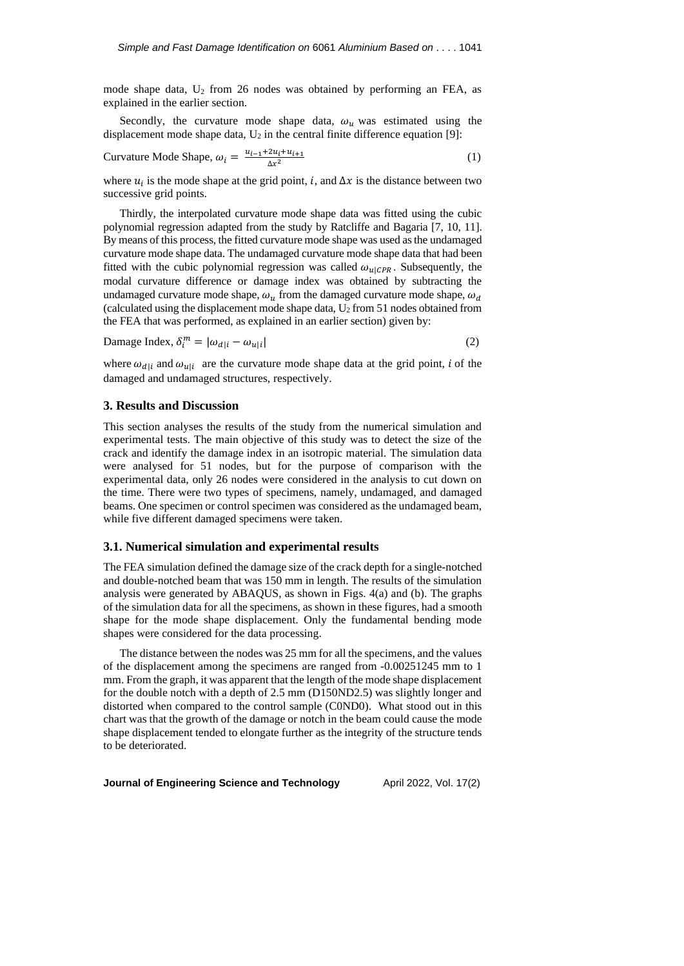mode shape data,  $U_2$  from 26 nodes was obtained by performing an FEA, as explained in the earlier section.

Secondly, the curvature mode shape data,  $\omega_u$  was estimated using the displacement mode shape data,  $U_2$  in the central finite difference equation [9]:

Curvature Mode Shape, 
$$
\omega_i = \frac{u_{i-1} + 2u_i + u_{i+1}}{\Delta x^2}
$$
 (1)

where  $u_i$  is the mode shape at the grid point, *i*, and  $\Delta x$  is the distance between two successive grid points.

Thirdly, the interpolated curvature mode shape data was fitted using the cubic polynomial regression adapted from the study by Ratcliffe and Bagaria [7, 10, 11]. By means of this process, the fitted curvature mode shape was used as the undamaged curvature mode shape data. The undamaged curvature mode shape data that had been fitted with the cubic polynomial regression was called  $\omega_{u|CPR}$ . Subsequently, the modal curvature difference or damage index was obtained by subtracting the undamaged curvature mode shape,  $\omega_u$  from the damaged curvature mode shape,  $\omega_d$ (calculated using the displacement mode shape data,  $U_2$  from 51 nodes obtained from the FEA that was performed, as explained in an earlier section) given by:

Damage Index,  $\delta_i^m = |\omega_{d|i} - \omega_{u|i}|$  $\vert$  (2)

where  $\omega_{d|i}$  and  $\omega_{u|i}$  are the curvature mode shape data at the grid point, *i* of the damaged and undamaged structures, respectively.

## **3. Results and Discussion**

This section analyses the results of the study from the numerical simulation and experimental tests. The main objective of this study was to detect the size of the crack and identify the damage index in an isotropic material. The simulation data were analysed for 51 nodes, but for the purpose of comparison with the experimental data, only 26 nodes were considered in the analysis to cut down on the time. There were two types of specimens, namely, undamaged, and damaged beams. One specimen or control specimen was considered as the undamaged beam, while five different damaged specimens were taken.

#### **3.1. Numerical simulation and experimental results**

The FEA simulation defined the damage size of the crack depth for a single-notched and double-notched beam that was 150 mm in length. The results of the simulation analysis were generated by ABAQUS, as shown in Figs. 4(a) and (b). The graphs of the simulation data for all the specimens, as shown in these figures, had a smooth shape for the mode shape displacement. Only the fundamental bending mode shapes were considered for the data processing.

The distance between the nodes was 25 mm for all the specimens, and the values of the displacement among the specimens are ranged from -0.00251245 mm to 1 mm. From the graph, it was apparent that the length of the mode shape displacement for the double notch with a depth of 2.5 mm (D150ND2.5) was slightly longer and distorted when compared to the control sample (C0ND0). What stood out in this chart was that the growth of the damage or notch in the beam could cause the mode shape displacement tended to elongate further as the integrity of the structure tends to be deteriorated.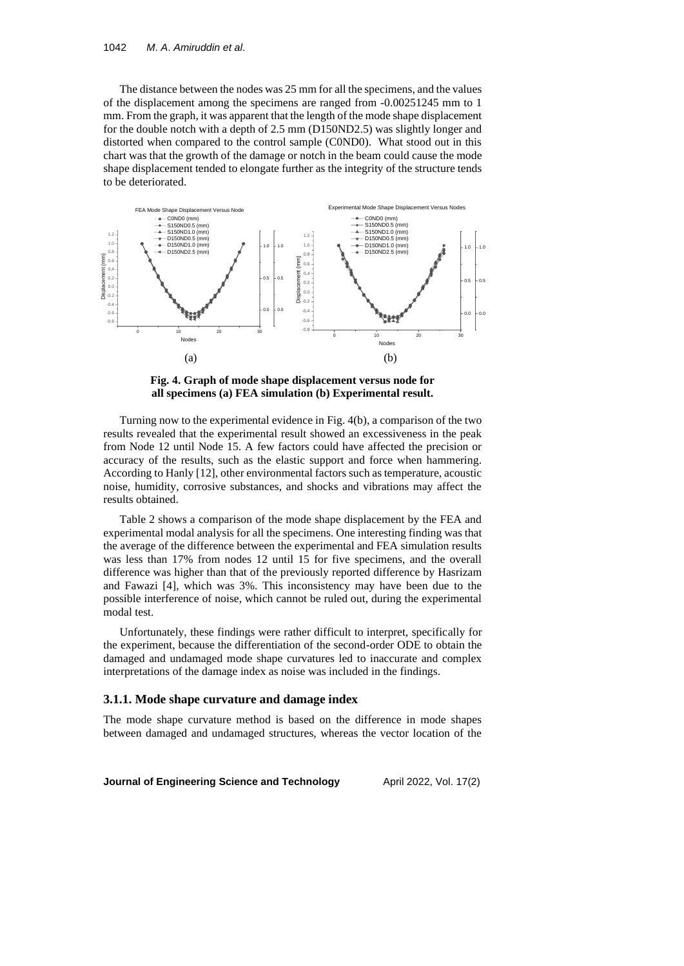The distance between the nodes was 25 mm for all the specimens, and the values of the displacement among the specimens are ranged from -0.00251245 mm to 1 mm. From the graph, it was apparent that the length of the mode shape displacement for the double notch with a depth of 2.5 mm (D150ND2.5) was slightly longer and distorted when compared to the control sample (C0ND0). What stood out in this chart was that the growth of the damage or notch in the beam could cause the mode shape displacement tended to elongate further as the integrity of the structure tends to be deteriorated.



**Fig. 4. Graph of mode shape displacement versus node for all specimens (a) FEA simulation (b) Experimental result.**

Turning now to the experimental evidence in Fig. 4(b), a comparison of the two results revealed that the experimental result showed an excessiveness in the peak from Node 12 until Node 15. A few factors could have affected the precision or accuracy of the results, such as the elastic support and force when hammering. According to Hanly [12], other environmental factors such as temperature, acoustic noise, humidity, corrosive substances, and shocks and vibrations may affect the results obtained.

Table 2 shows a comparison of the mode shape displacement by the FEA and experimental modal analysis for all the specimens. One interesting finding was that the average of the difference between the experimental and FEA simulation results was less than 17% from nodes 12 until 15 for five specimens, and the overall difference was higher than that of the previously reported difference by Hasrizam and Fawazi [4], which was 3%. This inconsistency may have been due to the possible interference of noise, which cannot be ruled out, during the experimental modal test.

Unfortunately, these findings were rather difficult to interpret, specifically for the experiment, because the differentiation of the second-order ODE to obtain the damaged and undamaged mode shape curvatures led to inaccurate and complex interpretations of the damage index as noise was included in the findings.

# **3.1.1. Mode shape curvature and damage index**

The mode shape curvature method is based on the difference in mode shapes between damaged and undamaged structures, whereas the vector location of the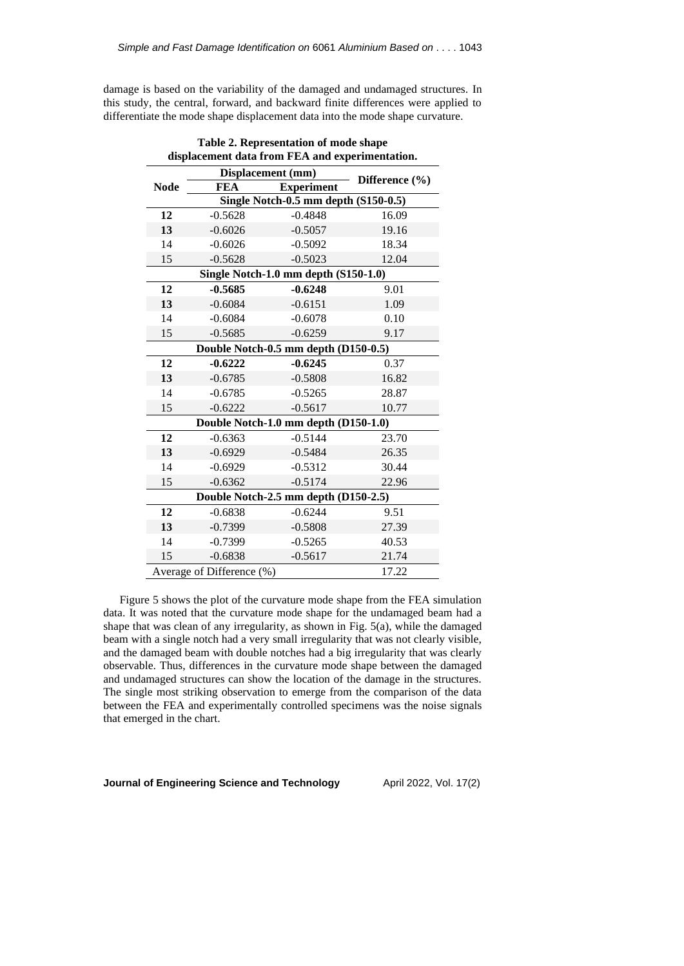damage is based on the variability of the damaged and undamaged structures. In this study, the central, forward, and backward finite differences were applied to differentiate the mode shape displacement data into the mode shape curvature.

| uisplacement uata 11 om i ezis anu experimentation. |                           |                   |                |  |
|-----------------------------------------------------|---------------------------|-------------------|----------------|--|
|                                                     |                           | Displacement (mm) |                |  |
| <b>Node</b>                                         | <b>FEA</b>                | <b>Experiment</b> | Difference (%) |  |
| Single Notch-0.5 mm depth (S150-0.5)                |                           |                   |                |  |
| 12                                                  | $-0.5628$                 | $-0.4848$         | 16.09          |  |
| 13                                                  | $-0.6026$                 | $-0.5057$         | 19.16          |  |
| 14                                                  | $-0.6026$                 | $-0.5092$         | 18.34          |  |
| 15                                                  | $-0.5628$                 | $-0.5023$         | 12.04          |  |
| Single Notch-1.0 mm depth (S150-1.0)                |                           |                   |                |  |
| 12                                                  | $-0.5685$                 | $-0.6248$         | 9.01           |  |
| 13                                                  | $-0.6084$                 | $-0.6151$         | 1.09           |  |
| 14                                                  | $-0.6084$                 | $-0.6078$         | 0.10           |  |
| 15                                                  | $-0.5685$                 | $-0.6259$         | 9.17           |  |
| Double Notch-0.5 mm depth (D150-0.5)                |                           |                   |                |  |
| 12                                                  | $-0.6222$                 | $-0.6245$         | 0.37           |  |
| 13                                                  | $-0.6785$                 | $-0.5808$         | 16.82          |  |
| 14                                                  | $-0.6785$                 | $-0.5265$         | 28.87          |  |
| 15                                                  | $-0.6222$                 | $-0.5617$         | 10.77          |  |
| Double Notch-1.0 mm depth (D150-1.0)                |                           |                   |                |  |
| 12                                                  | $-0.6363$                 | $-0.5144$         | 23.70          |  |
| 13                                                  | $-0.6929$                 | $-0.5484$         | 26.35          |  |
| 14                                                  | $-0.6929$                 | $-0.5312$         | 30.44          |  |
| 15                                                  | $-0.6362$                 | $-0.5174$         | 22.96          |  |
| Double Notch-2.5 mm depth (D150-2.5)                |                           |                   |                |  |
| 12                                                  | $-0.6838$                 | $-0.6244$         | 9.51           |  |
| 13                                                  | $-0.7399$                 | $-0.5808$         | 27.39          |  |
| 14                                                  | $-0.7399$                 | $-0.5265$         | 40.53          |  |
| 15                                                  | $-0.6838$                 | $-0.5617$         | 21.74          |  |
|                                                     | Average of Difference (%) |                   | 17.22          |  |

**Table 2. Representation of mode shape displacement data from FEA and experimentation.**

Figure 5 shows the plot of the curvature mode shape from the FEA simulation data. It was noted that the curvature mode shape for the undamaged beam had a shape that was clean of any irregularity, as shown in Fig. 5(a), while the damaged beam with a single notch had a very small irregularity that was not clearly visible, and the damaged beam with double notches had a big irregularity that was clearly observable. Thus, differences in the curvature mode shape between the damaged and undamaged structures can show the location of the damage in the structures. The single most striking observation to emerge from the comparison of the data between the FEA and experimentally controlled specimens was the noise signals that emerged in the chart.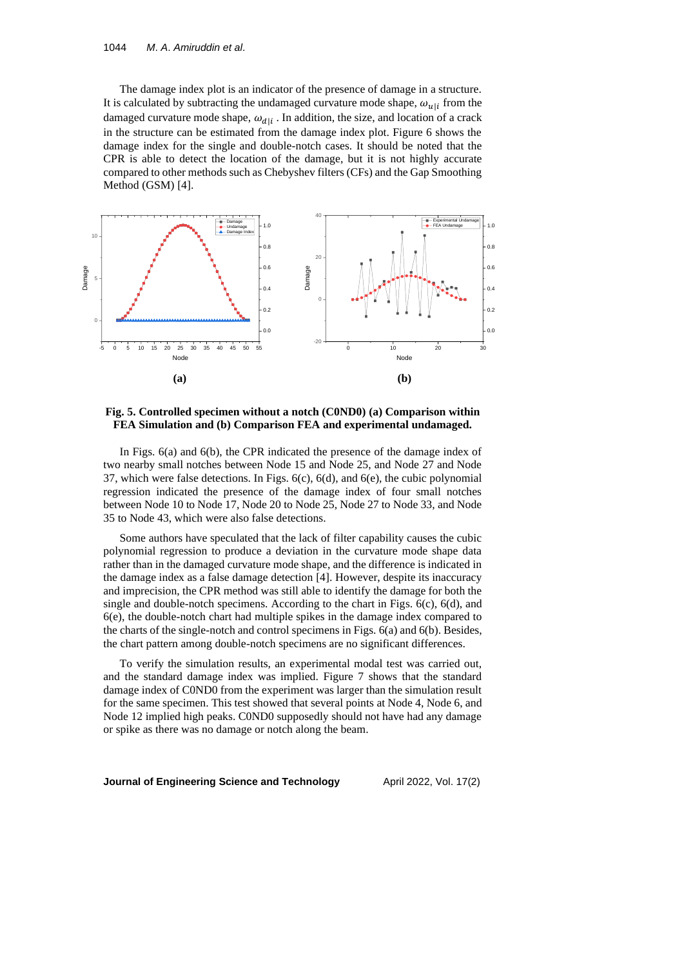The damage index plot is an indicator of the presence of damage in a structure. It is calculated by subtracting the undamaged curvature mode shape,  $\omega_{u|i}$  from the damaged curvature mode shape,  $\omega_{d|i}$ . In addition, the size, and location of a crack in the structure can be estimated from the damage index plot. Figure 6 shows the damage index for the single and double-notch cases. It should be noted that the CPR is able to detect the location of the damage, but it is not highly accurate compared to other methods such as Chebyshev filters (CFs) and the Gap Smoothing Method (GSM) [4].



**Fig. 5. Controlled specimen without a notch (C0ND0) (a) Comparison within FEA Simulation and (b) Comparison FEA and experimental undamaged.**

In Figs. 6(a) and 6(b), the CPR indicated the presence of the damage index of two nearby small notches between Node 15 and Node 25, and Node 27 and Node 37, which were false detections. In Figs. 6(c), 6(d), and 6(e), the cubic polynomial regression indicated the presence of the damage index of four small notches between Node 10 to Node 17, Node 20 to Node 25, Node 27 to Node 33, and Node 35 to Node 43, which were also false detections.

Some authors have speculated that the lack of filter capability causes the cubic polynomial regression to produce a deviation in the curvature mode shape data rather than in the damaged curvature mode shape, and the difference is indicated in the damage index as a false damage detection [4]. However, despite its inaccuracy and imprecision, the CPR method was still able to identify the damage for both the single and double-notch specimens. According to the chart in Figs.  $6(c)$ ,  $6(d)$ , and 6(e), the double-notch chart had multiple spikes in the damage index compared to the charts of the single-notch and control specimens in Figs. 6(a) and 6(b). Besides, the chart pattern among double-notch specimens are no significant differences.

To verify the simulation results, an experimental modal test was carried out, and the standard damage index was implied. Figure 7 shows that the standard damage index of C0ND0 from the experiment was larger than the simulation result for the same specimen. This test showed that several points at Node 4, Node 6, and Node 12 implied high peaks. C0ND0 supposedly should not have had any damage or spike as there was no damage or notch along the beam.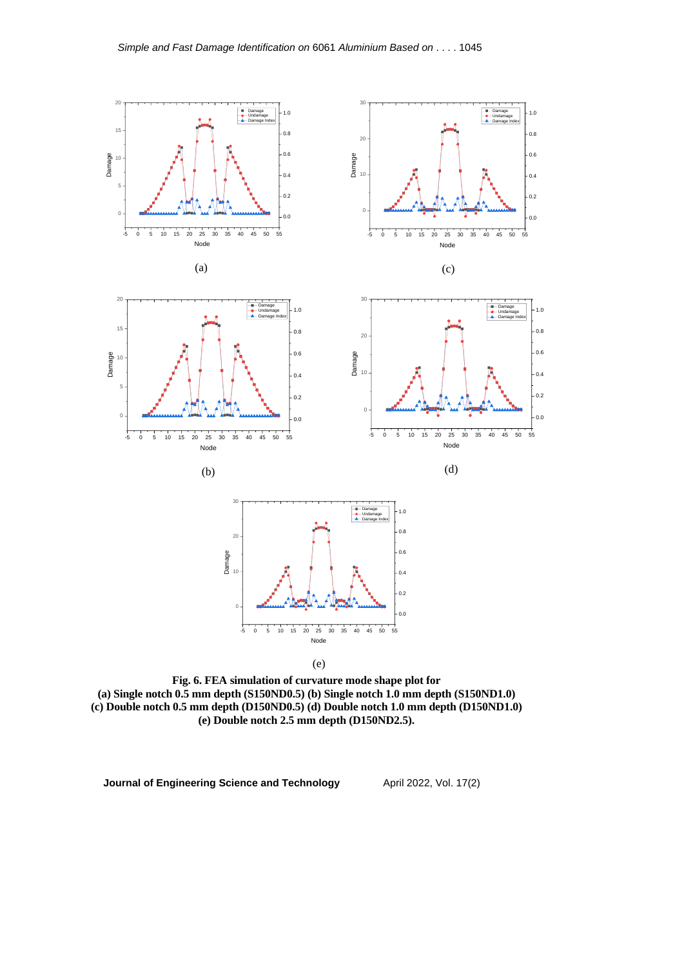

(e)

**Fig. 6. FEA simulation of curvature mode shape plot for (a) Single notch 0.5 mm depth (S150ND0.5) (b) Single notch 1.0 mm depth (S150ND1.0) (c) Double notch 0.5 mm depth (D150ND0.5) (d) Double notch 1.0 mm depth (D150ND1.0) (e) Double notch 2.5 mm depth (D150ND2.5).**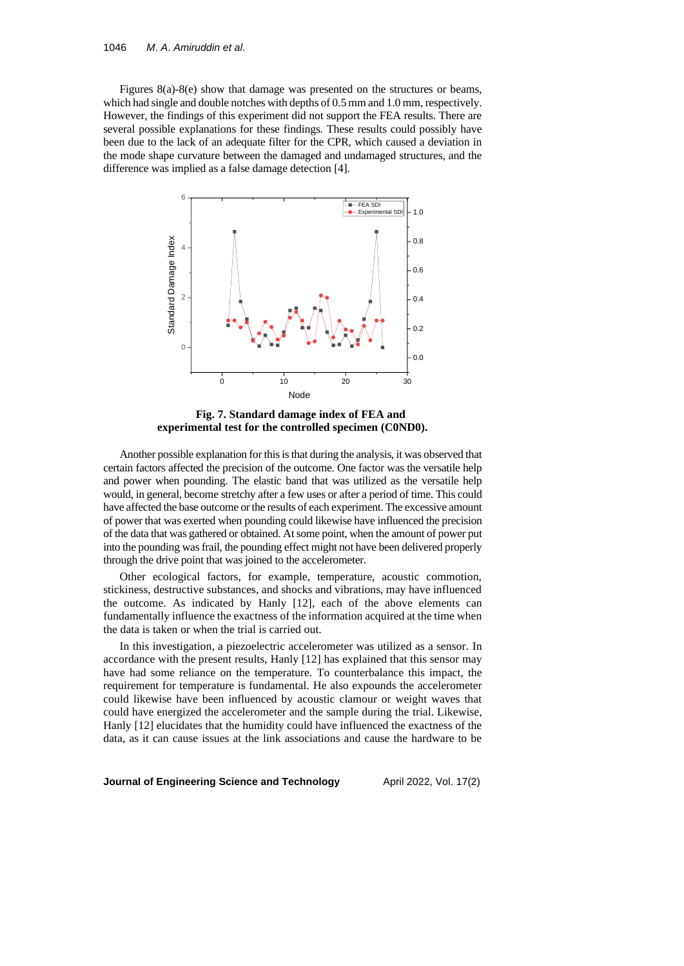Figures 8(a)-8(e) show that damage was presented on the structures or beams, which had single and double notches with depths of 0.5 mm and 1.0 mm, respectively. However, the findings of this experiment did not support the FEA results. There are several possible explanations for these findings. These results could possibly have been due to the lack of an adequate filter for the CPR, which caused a deviation in the mode shape curvature between the damaged and undamaged structures, and the difference was implied as a false damage detection [4].



**Fig. 7. Standard damage index of FEA and experimental test for the controlled specimen (C0ND0).**

Another possible explanation for this is that during the analysis, it was observed that certain factors affected the precision of the outcome. One factor was the versatile help and power when pounding. The elastic band that was utilized as the versatile help would, in general, become stretchy after a few uses or after a period of time. This could have affected the base outcome or the results of each experiment. The excessive amount of power that was exerted when pounding could likewise have influenced the precision of the data that was gathered or obtained. At some point, when the amount of power put into the pounding was frail, the pounding effect might not have been delivered properly through the drive point that was joined to the accelerometer.

Other ecological factors, for example, temperature, acoustic commotion, stickiness, destructive substances, and shocks and vibrations, may have influenced the outcome. As indicated by Hanly [12], each of the above elements can fundamentally influence the exactness of the information acquired at the time when the data is taken or when the trial is carried out.

In this investigation, a piezoelectric accelerometer was utilized as a sensor. In accordance with the present results, Hanly [12] has explained that this sensor may have had some reliance on the temperature. To counterbalance this impact, the requirement for temperature is fundamental. He also expounds the accelerometer could likewise have been influenced by acoustic clamour or weight waves that could have energized the accelerometer and the sample during the trial. Likewise, Hanly [12] elucidates that the humidity could have influenced the exactness of the data, as it can cause issues at the link associations and cause the hardware to be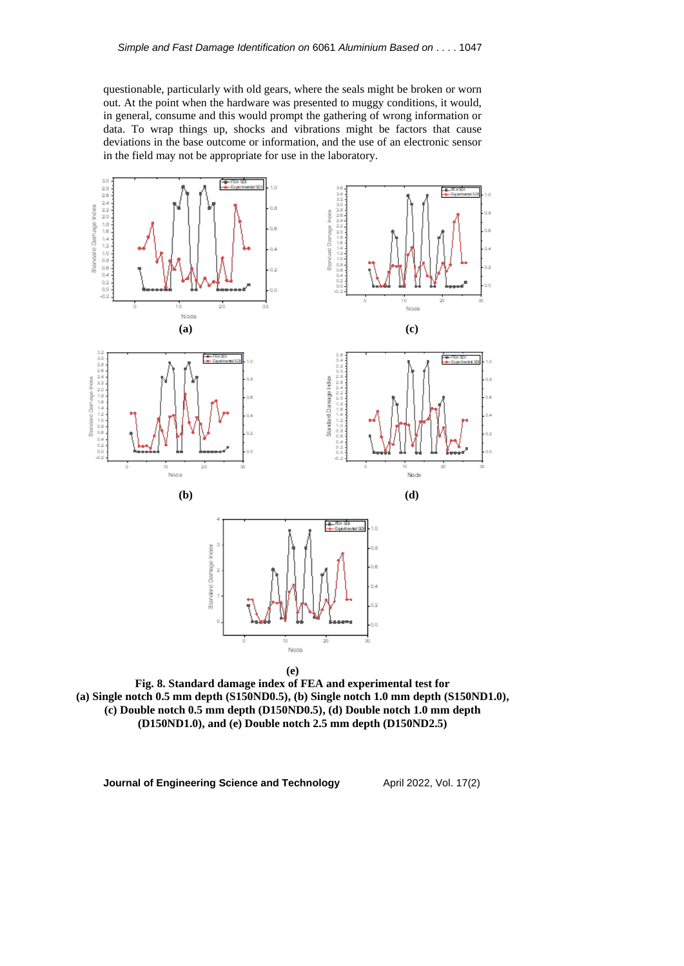questionable, particularly with old gears, where the seals might be broken or worn out. At the point when the hardware was presented to muggy conditions, it would, in general, consume and this would prompt the gathering of wrong information or data. To wrap things up, shocks and vibrations might be factors that cause deviations in the base outcome or information, and the use of an electronic sensor in the field may not be appropriate for use in the laboratory.



**Fig. 8. Standard damage index of FEA and experimental test for (a) Single notch 0.5 mm depth (S150ND0.5), (b) Single notch 1.0 mm depth (S150ND1.0), (c) Double notch 0.5 mm depth (D150ND0.5), (d) Double notch 1.0 mm depth (D150ND1.0), and (e) Double notch 2.5 mm depth (D150ND2.5)**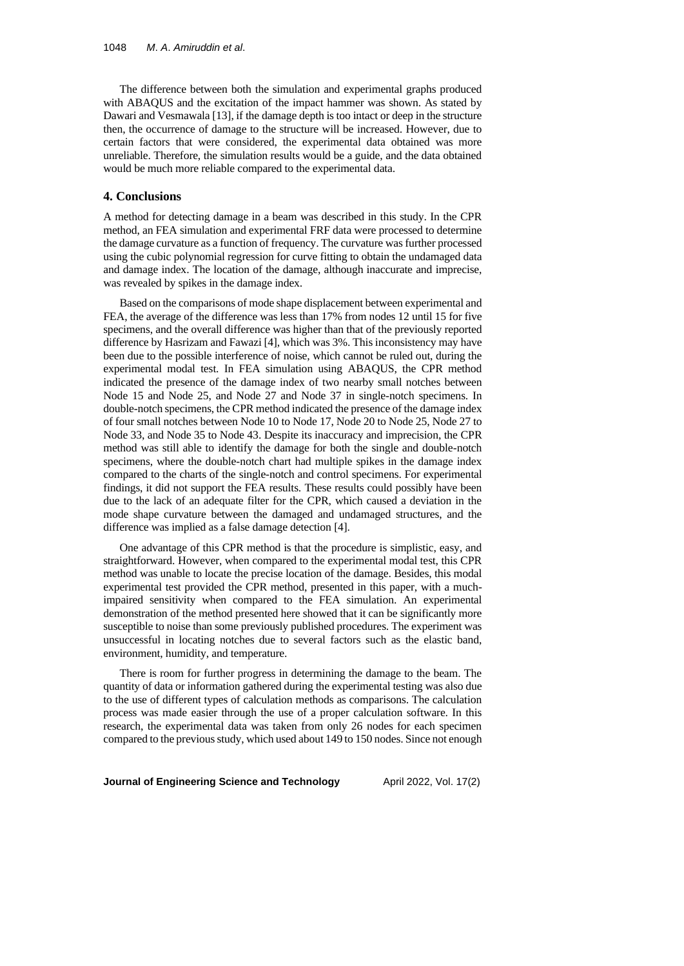The difference between both the simulation and experimental graphs produced with ABAQUS and the excitation of the impact hammer was shown. As stated by Dawari and Vesmawala [13], if the damage depth is too intact or deep in the structure then, the occurrence of damage to the structure will be increased. However, due to certain factors that were considered, the experimental data obtained was more unreliable. Therefore, the simulation results would be a guide, and the data obtained would be much more reliable compared to the experimental data.

## **4. Conclusions**

A method for detecting damage in a beam was described in this study. In the CPR method, an FEA simulation and experimental FRF data were processed to determine the damage curvature as a function of frequency. The curvature was further processed using the cubic polynomial regression for curve fitting to obtain the undamaged data and damage index. The location of the damage, although inaccurate and imprecise, was revealed by spikes in the damage index.

Based on the comparisons of mode shape displacement between experimental and FEA, the average of the difference was less than 17% from nodes 12 until 15 for five specimens, and the overall difference was higher than that of the previously reported difference by Hasrizam and Fawazi [4], which was 3%. This inconsistency may have been due to the possible interference of noise, which cannot be ruled out, during the experimental modal test. In FEA simulation using ABAQUS, the CPR method indicated the presence of the damage index of two nearby small notches between Node 15 and Node 25, and Node 27 and Node 37 in single-notch specimens. In double-notch specimens, the CPR method indicated the presence of the damage index of four small notches between Node 10 to Node 17, Node 20 to Node 25, Node 27 to Node 33, and Node 35 to Node 43. Despite its inaccuracy and imprecision, the CPR method was still able to identify the damage for both the single and double-notch specimens, where the double-notch chart had multiple spikes in the damage index compared to the charts of the single-notch and control specimens. For experimental findings, it did not support the FEA results. These results could possibly have been due to the lack of an adequate filter for the CPR, which caused a deviation in the mode shape curvature between the damaged and undamaged structures, and the difference was implied as a false damage detection [4].

One advantage of this CPR method is that the procedure is simplistic, easy, and straightforward. However, when compared to the experimental modal test, this CPR method was unable to locate the precise location of the damage. Besides, this modal experimental test provided the CPR method, presented in this paper, with a muchimpaired sensitivity when compared to the FEA simulation. An experimental demonstration of the method presented here showed that it can be significantly more susceptible to noise than some previously published procedures. The experiment was unsuccessful in locating notches due to several factors such as the elastic band, environment, humidity, and temperature.

There is room for further progress in determining the damage to the beam. The quantity of data or information gathered during the experimental testing was also due to the use of different types of calculation methods as comparisons. The calculation process was made easier through the use of a proper calculation software. In this research, the experimental data was taken from only 26 nodes for each specimen compared to the previous study, which used about 149 to 150 nodes. Since not enough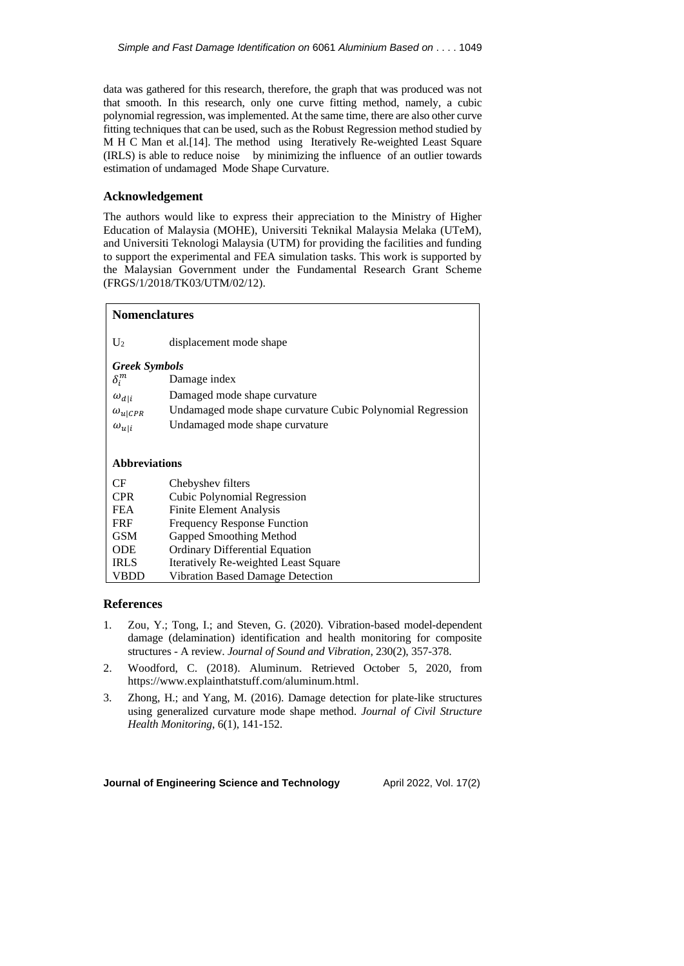data was gathered for this research, therefore, the graph that was produced was not that smooth. In this research, only one curve fitting method, namely, a cubic polynomial regression, was implemented. At the same time, there are also other curve fitting techniques that can be used, such as the Robust Regression method studied by M H C Man et al.[14]. The method using Iteratively Re-weighted Least Square (IRLS) is able to reduce noise by minimizing the influence of an outlier towards estimation of undamaged Mode Shape Curvature.

### **Acknowledgement**

The authors would like to express their appreciation to the Ministry of Higher Education of Malaysia (MOHE), Universiti Teknikal Malaysia Melaka (UTeM), and Universiti Teknologi Malaysia (UTM) for providing the facilities and funding to support the experimental and FEA simulation tasks. This work is supported by the Malaysian Government under the Fundamental Research Grant Scheme (FRGS/1/2018/TK03/UTM/02/12).

| <b>Nomenclatures</b> |                                                            |  |  |  |
|----------------------|------------------------------------------------------------|--|--|--|
| $U_2$                | displacement mode shape                                    |  |  |  |
| <b>Greek Symbols</b> |                                                            |  |  |  |
| $\delta_i^m$         | Damage index                                               |  |  |  |
| $\omega_{d i}$       | Damaged mode shape curvature                               |  |  |  |
| $\omega_{u CPR}$     | Undamaged mode shape curvature Cubic Polynomial Regression |  |  |  |
| $\omega_{u i}$       | Undamaged mode shape curvature                             |  |  |  |
|                      |                                                            |  |  |  |
| <b>Abbreviations</b> |                                                            |  |  |  |
| CF                   | Chebyshev filters                                          |  |  |  |
| <b>CPR</b>           | Cubic Polynomial Regression                                |  |  |  |
| <b>FEA</b>           | <b>Finite Element Analysis</b>                             |  |  |  |
| <b>FRF</b>           | <b>Frequency Response Function</b>                         |  |  |  |
| <b>GSM</b>           | Gapped Smoothing Method                                    |  |  |  |
| <b>ODE</b>           | <b>Ordinary Differential Equation</b>                      |  |  |  |
| <b>IRLS</b>          | <b>Iteratively Re-weighted Least Square</b>                |  |  |  |
| VBDD                 | Vibration Based Damage Detection                           |  |  |  |

#### **References**

- 1. Zou, Y.; Tong, I.; and Steven, G. (2020). Vibration-based model-dependent damage (delamination) identification and health monitoring for composite structures - A review. *Journal of Sound and Vibration*, 230(2), 357-378.
- 2. Woodford, C. (2018). Aluminum. Retrieved October 5, 2020, from https://www.explainthatstuff.com/aluminum.html.
- 3. Zhong, H.; and Yang, M. (2016). Damage detection for plate-like structures using generalized curvature mode shape method. *Journal of Civil Structure Health Monitoring*, 6(1), 141-152.